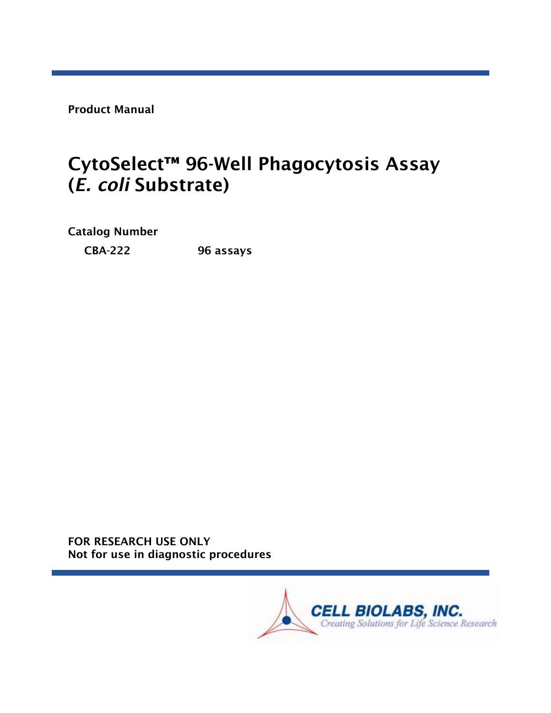Product Manual

# CytoSelect™ 96-Well Phagocytosis Assay (*E. coli* Substrate)

Catalog Number

CBA-222 96 assays

FOR RESEARCH USE ONLY Not for use in diagnostic procedures

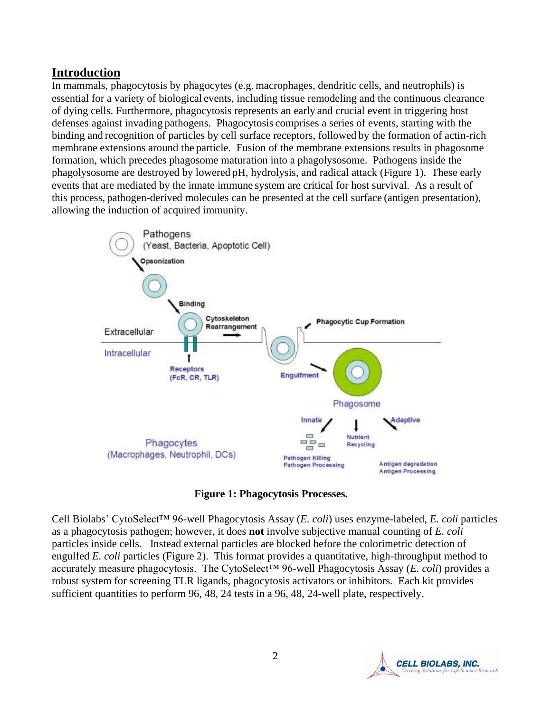## **Introduction**

In mammals, phagocytosis by phagocytes (e.g. macrophages, dendritic cells, and neutrophils) is essential for a variety of biological events, including tissue remodeling and the continuous clearance of dying cells. Furthermore, phagocytosis represents an early and crucial event in triggering host defenses against invading pathogens. Phagocytosis comprises a series of events, starting with the binding and recognition of particles by cell surface receptors, followed by the formation of actin-rich membrane extensions around the particle. Fusion of the membrane extensions results in phagosome formation, which precedes phagosome maturation into a phagolysosome. Pathogens inside the phagolysosome are destroyed by lowered pH, hydrolysis, and radical attack (Figure 1). These early events that are mediated by the innate immune system are critical for host survival. As a result of this process, pathogen-derived molecules can be presented at the cell surface (antigen presentation), allowing the induction of acquired immunity.



**Figure 1: Phagocytosis Processes.**

Cell Biolabs' CytoSelect™ 96-well Phagocytosis Assay (*E. coli*) uses enzyme-labeled, *E. coli* particles as a phagocytosis pathogen; however, it does **not** involve subjective manual counting of *E. coli* particles inside cells. Instead external particles are blocked before the colorimetric detection of engulfed *E. coli* particles (Figure 2). This format provides a quantitative, high-throughput method to accurately measure phagocytosis. The CytoSelect™ 96-well Phagocytosis Assay (*E. coli*) provides a robust system for screening TLR ligands, phagocytosis activators or inhibitors. Each kit provides sufficient quantities to perform 96, 48, 24 tests in a 96, 48, 24-well plate, respectively.

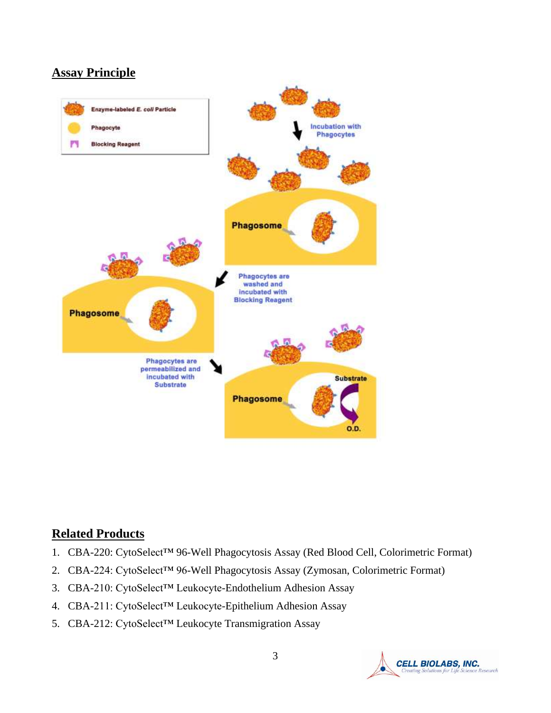# **Assay Principle**



# **Related Products**

- 1. CBA-220: CytoSelect™ 96-Well Phagocytosis Assay (Red Blood Cell, Colorimetric Format)
- 2. CBA-224: CytoSelect™ 96-Well Phagocytosis Assay (Zymosan, Colorimetric Format)
- 3. CBA-210: CytoSelect™ Leukocyte-Endothelium Adhesion Assay
- 4. CBA-211: CytoSelect™ Leukocyte-Epithelium Adhesion Assay
- 5. CBA-212: CytoSelect™ Leukocyte Transmigration Assay

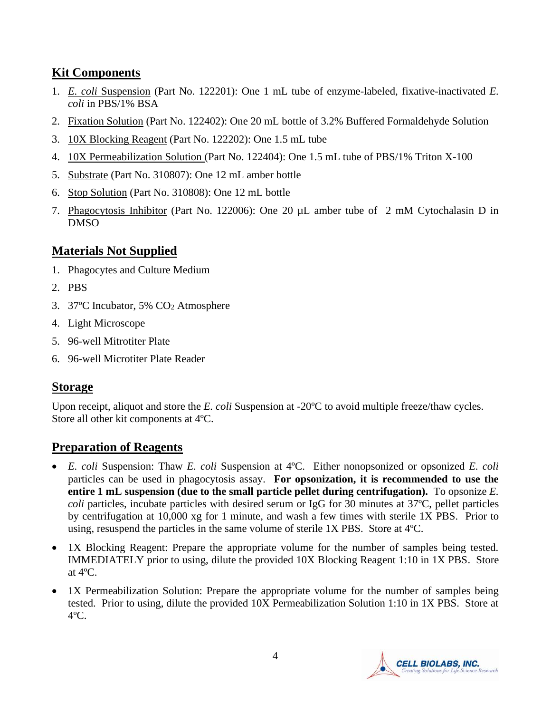# **Kit Components**

- 1. *E. coli* Suspension (Part No. 122201): One 1 mL tube of enzyme-labeled, fixative-inactivated *E. coli* in PBS/1% BSA
- 2. Fixation Solution (Part No. 122402): One 20 mL bottle of 3.2% Buffered Formaldehyde Solution
- 3. 10X Blocking Reagent (Part No. 122202): One 1.5 mL tube
- 4. 10X Permeabilization Solution (Part No. 122404): One 1.5 mL tube of PBS/1% Triton X-100
- 5. Substrate (Part No. 310807): One 12 mL amber bottle
- 6. Stop Solution (Part No. 310808): One 12 mL bottle
- 7. Phagocytosis Inhibitor (Part No. 122006): One 20 µL amber tube of 2 mM Cytochalasin D in DMSO

# **Materials Not Supplied**

- 1. Phagocytes and Culture Medium
- 2. PBS
- 3. 37ºC Incubator, 5% CO<sup>2</sup> Atmosphere
- 4. Light Microscope
- 5. 96-well Mitrotiter Plate
- 6. 96-well Microtiter Plate Reader

# **Storage**

Upon receipt, aliquot and store the *E. coli* Suspension at -20<sup>o</sup>C to avoid multiple freeze/thaw cycles. Store all other kit components at 4ºC.

# **Preparation of Reagents**

- *E. coli* Suspension: Thaw *E. coli* Suspension at 4ºC. Either nonopsonized or opsonized *E. coli* particles can be used in phagocytosis assay. **For opsonization, it is recommended to use the entire 1 mL suspension (due to the small particle pellet during centrifugation).** To opsonize *E. coli* particles, incubate particles with desired serum or IgG for 30 minutes at 37ºC, pellet particles by centrifugation at 10,000 xg for 1 minute, and wash a few times with sterile 1X PBS. Prior to using, resuspend the particles in the same volume of sterile 1X PBS. Store at 4ºC.
- 1X Blocking Reagent: Prepare the appropriate volume for the number of samples being tested. IMMEDIATELY prior to using, dilute the provided 10X Blocking Reagent 1:10 in 1X PBS. Store at 4ºC.
- 1X Permeabilization Solution: Prepare the appropriate volume for the number of samples being tested. Prior to using, dilute the provided 10X Permeabilization Solution 1:10 in 1X PBS. Store at  $4^{\circ}$ C.

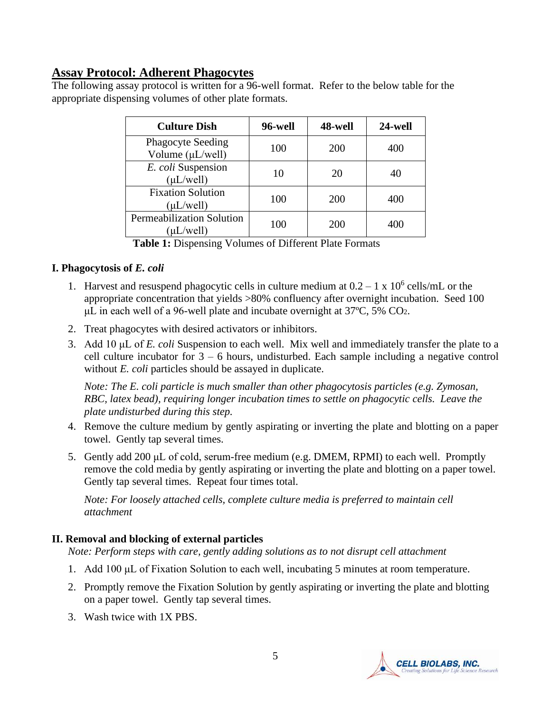# **Assay Protocol: Adherent Phagocytes**

The following assay protocol is written for a 96-well format. Refer to the below table for the appropriate dispensing volumes of other plate formats.

| <b>Culture Dish</b>                                | 96-well | 48-well    | 24-well |
|----------------------------------------------------|---------|------------|---------|
| <b>Phagocyte Seeding</b><br>Volume $(\mu L/well)$  | 100     | <b>200</b> | 400     |
| E. coli Suspension<br>$(\mu L/well)$               | 10      | 20         | 40      |
| <b>Fixation Solution</b><br>$(\mu L/well)$         | 100     | <b>200</b> | 400     |
| <b>Permeabilization Solution</b><br>$(\mu L/well)$ | 100     | 200        | 400     |

**Table 1:** Dispensing Volumes of Different Plate Formats

#### **I. Phagocytosis of** *E. coli*

- 1. Harvest and resuspend phagocytic cells in culture medium at  $0.2 1 \times 10^6$  cells/mL or the appropriate concentration that yields >80% confluency after overnight incubation. Seed 100  $\mu$ L in each well of a 96-well plate and incubate overnight at 37 $\degree$ C, 5% CO<sub>2</sub>.
- 2. Treat phagocytes with desired activators or inhibitors.
- 3. Add 10 μL of *E. coli* Suspension to each well. Mix well and immediately transfer the plate to a cell culture incubator for  $3 - 6$  hours, undisturbed. Each sample including a negative control without *E. coli* particles should be assayed in duplicate.

*Note: The E. coli particle is much smaller than other phagocytosis particles (e.g. Zymosan, RBC, latex bead), requiring longer incubation times to settle on phagocytic cells. Leave the plate undisturbed during this step.* 

- 4. Remove the culture medium by gently aspirating or inverting the plate and blotting on a paper towel. Gently tap several times.
- 5. Gently add 200 μL of cold, serum-free medium (e.g. DMEM, RPMI) to each well. Promptly remove the cold media by gently aspirating or inverting the plate and blotting on a paper towel. Gently tap several times. Repeat four times total.

*Note: For loosely attached cells, complete culture media is preferred to maintain cell attachment*

# **II. Removal and blocking of external particles**

*Note: Perform steps with care, gently adding solutions as to not disrupt cell attachment*

- 1. Add 100 μL of Fixation Solution to each well, incubating 5 minutes at room temperature.
- 2. Promptly remove the Fixation Solution by gently aspirating or inverting the plate and blotting on a paper towel. Gently tap several times.
- 3. Wash twice with 1X PBS.

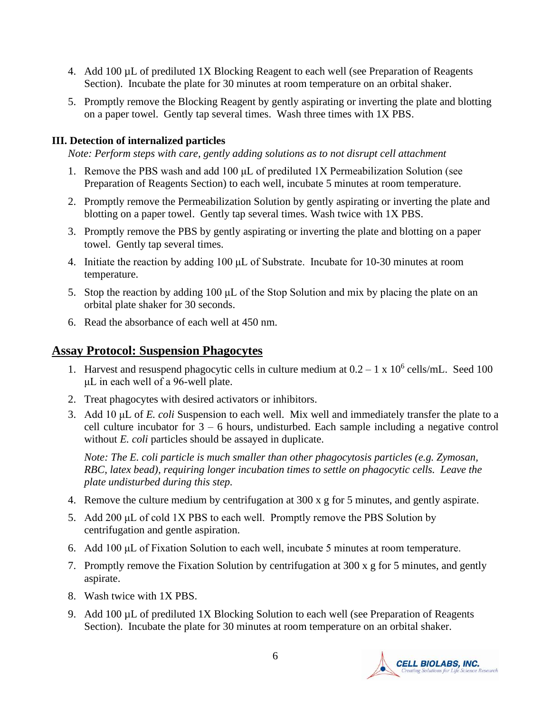- 4. Add 100 µL of prediluted 1X Blocking Reagent to each well (see Preparation of Reagents Section). Incubate the plate for 30 minutes at room temperature on an orbital shaker.
- 5. Promptly remove the Blocking Reagent by gently aspirating or inverting the plate and blotting on a paper towel. Gently tap several times. Wash three times with 1X PBS.

#### **III. Detection of internalized particles**

*Note: Perform steps with care, gently adding solutions as to not disrupt cell attachment*

- 1. Remove the PBS wash and add 100 μL of prediluted 1X Permeabilization Solution (see Preparation of Reagents Section) to each well, incubate 5 minutes at room temperature.
- 2. Promptly remove the Permeabilization Solution by gently aspirating or inverting the plate and blotting on a paper towel. Gently tap several times. Wash twice with 1X PBS.
- 3. Promptly remove the PBS by gently aspirating or inverting the plate and blotting on a paper towel. Gently tap several times.
- 4. Initiate the reaction by adding 100 μL of Substrate. Incubate for 10-30 minutes at room temperature.
- 5. Stop the reaction by adding 100 μL of the Stop Solution and mix by placing the plate on an orbital plate shaker for 30 seconds.
- 6. Read the absorbance of each well at 450 nm.

#### **Assay Protocol: Suspension Phagocytes**

- 1. Harvest and resuspend phagocytic cells in culture medium at  $0.2 1 \times 10^6$  cells/mL. Seed 100 μL in each well of a 96-well plate.
- 2. Treat phagocytes with desired activators or inhibitors.
- 3. Add 10 μL of *E. coli* Suspension to each well. Mix well and immediately transfer the plate to a cell culture incubator for  $3 - 6$  hours, undisturbed. Each sample including a negative control without *E. coli* particles should be assayed in duplicate.

*Note: The E. coli particle is much smaller than other phagocytosis particles (e.g. Zymosan, RBC, latex bead), requiring longer incubation times to settle on phagocytic cells. Leave the plate undisturbed during this step.* 

- 4. Remove the culture medium by centrifugation at 300 x g for 5 minutes, and gently aspirate.
- 5. Add 200  $\mu$ L of cold 1X PBS to each well. Promptly remove the PBS Solution by centrifugation and gentle aspiration.
- 6. Add 100 μL of Fixation Solution to each well, incubate 5 minutes at room temperature.
- 7. Promptly remove the Fixation Solution by centrifugation at 300 x g for 5 minutes, and gently aspirate.
- 8. Wash twice with 1X PBS.
- 9. Add 100 µL of prediluted 1X Blocking Solution to each well (see Preparation of Reagents Section). Incubate the plate for 30 minutes at room temperature on an orbital shaker.

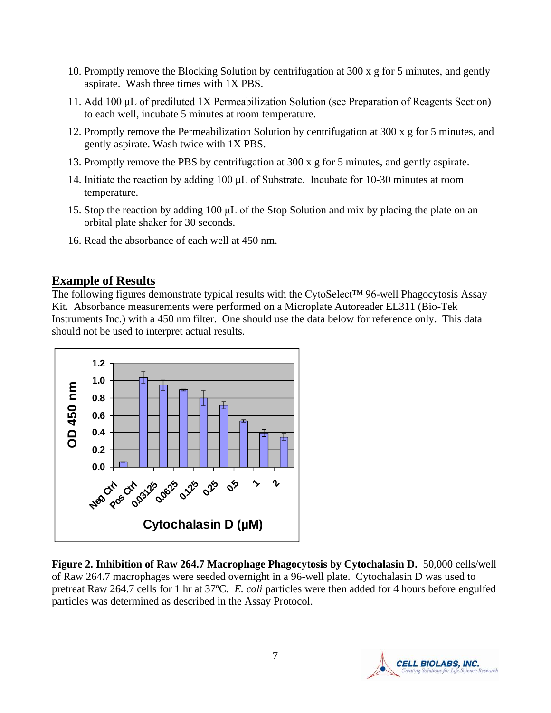- 10. Promptly remove the Blocking Solution by centrifugation at 300 x g for 5 minutes, and gently aspirate. Wash three times with 1X PBS.
- 11. Add 100 μL of prediluted 1X Permeabilization Solution (see Preparation of Reagents Section) to each well, incubate 5 minutes at room temperature.
- 12. Promptly remove the Permeabilization Solution by centrifugation at 300 x g for 5 minutes, and gently aspirate. Wash twice with 1X PBS.
- 13. Promptly remove the PBS by centrifugation at 300 x g for 5 minutes, and gently aspirate.
- 14. Initiate the reaction by adding 100 μL of Substrate. Incubate for 10-30 minutes at room temperature.
- 15. Stop the reaction by adding 100 μL of the Stop Solution and mix by placing the plate on an orbital plate shaker for 30 seconds.
- 16. Read the absorbance of each well at 450 nm.

#### **Example of Results**

The following figures demonstrate typical results with the CytoSelect<sup>™</sup> 96-well Phagocytosis Assay Kit. Absorbance measurements were performed on a Microplate Autoreader EL311 (Bio-Tek Instruments Inc.) with a 450 nm filter. One should use the data below for reference only. This data should not be used to interpret actual results.



**Figure 2. Inhibition of Raw 264.7 Macrophage Phagocytosis by Cytochalasin D.** 50,000 cells/well of Raw 264.7 macrophages were seeded overnight in a 96-well plate. Cytochalasin D was used to pretreat Raw 264.7 cells for 1 hr at 37ºC. *E. coli* particles were then added for 4 hours before engulfed particles was determined as described in the Assay Protocol.

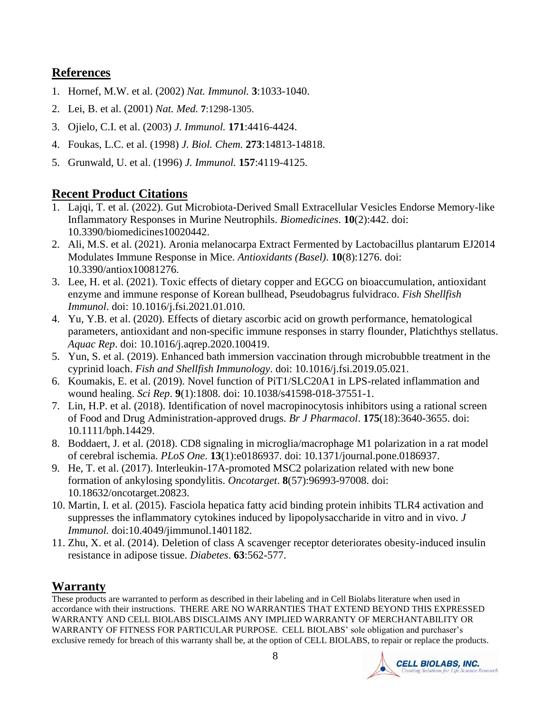## **References**

- 1. Hornef, M.W. et al. (2002) *Nat. Immunol.* **3**:1033-1040.
- 2. [Lei,](http://www.ncbi.nlm.nih.gov/entrez/query.fcgi?db=pubmed&cmd=Search&itool=pubmed_AbstractPlus&term=%22Jutras+I%22%5BAuthor%5D) B. et al. (2001) *[Nat. Med.](javascript:AL_get(this,%20)* **7**:1298-1305.
- 3. Ojielo, C.I. et al. (2003) *J. Immunol.* **171**:4416-4424.
- 4. Foukas, L.C. et al. (1998) *J. Biol. Chem.* **273**:14813-14818.
- 5. Grunwald, U. et al. (1996) *J. Immunol.* **157**:4119-4125.

# **Recent Product Citations**

- 1. Lajqi, T. et al. (2022). Gut Microbiota-Derived Small Extracellular Vesicles Endorse Memory-like Inflammatory Responses in Murine Neutrophils. *Biomedicines*. **10**(2):442. doi: 10.3390/biomedicines10020442.
- 2. Ali, M.S. et al. (2021). Aronia melanocarpa Extract Fermented by Lactobacillus plantarum EJ2014 Modulates Immune Response in Mice. *Antioxidants (Basel)*. **10**(8):1276. doi: 10.3390/antiox10081276.
- 3. Lee, H. et al. (2021). Toxic effects of dietary copper and EGCG on bioaccumulation, antioxidant enzyme and immune response of Korean bullhead, Pseudobagrus fulvidraco. *Fish Shellfish Immunol*. doi: 10.1016/j.fsi.2021.01.010.
- 4. Yu, Y.B. et al. (2020). Effects of dietary ascorbic acid on growth performance, hematological parameters, antioxidant and non-specific immune responses in starry flounder, Platichthys stellatus. *Aquac Rep*. doi: 10.1016/j.aqrep.2020.100419.
- 5. Yun, S. et al. (2019). Enhanced bath immersion vaccination through microbubble treatment in the cyprinid loach. *Fish and Shellfish Immunology*. doi: 10.1016/j.fsi.2019.05.021.
- 6. Koumakis, E. et al. (2019). Novel function of PiT1/SLC20A1 in LPS-related inflammation and wound healing. *Sci Rep*. **9**(1):1808. doi: 10.1038/s41598-018-37551-1.
- 7. Lin, H.P. et al. (2018). Identification of novel macropinocytosis inhibitors using a rational screen of Food and Drug Administration-approved drugs. *Br J Pharmacol*. **175**(18):3640-3655. doi: 10.1111/bph.14429.
- 8. Boddaert, J. et al. (2018). CD8 signaling in microglia/macrophage M1 polarization in a rat model of cerebral ischemia. *PLoS One*. **13**(1):e0186937. doi: 10.1371/journal.pone.0186937.
- 9. He, T. et al. (2017). Interleukin-17A-promoted MSC2 polarization related with new bone formation of ankylosing spondylitis. *Oncotarget*. **8**(57):96993-97008. doi: 10.18632/oncotarget.20823.
- 10. Martin, I. et al. (2015). Fasciola hepatica fatty acid binding protein inhibits TLR4 activation and suppresses the inflammatory cytokines induced by lipopolysaccharide in vitro and in vivo. *J Immunol.* doi:10.4049/jimmunol.1401182.
- 11. Zhu, X. et al. (2014). Deletion of class A scavenger receptor deteriorates obesity-induced insulin resistance in adipose tissue. *Diabetes*. **63**:562-577.

# **Warranty**

These products are warranted to perform as described in their labeling and in Cell Biolabs literature when used in accordance with their instructions. THERE ARE NO WARRANTIES THAT EXTEND BEYOND THIS EXPRESSED WARRANTY AND CELL BIOLABS DISCLAIMS ANY IMPLIED WARRANTY OF MERCHANTABILITY OR WARRANTY OF FITNESS FOR PARTICULAR PURPOSE. CELL BIOLABS' sole obligation and purchaser's exclusive remedy for breach of this warranty shall be, at the option of CELL BIOLABS, to repair or replace the products.